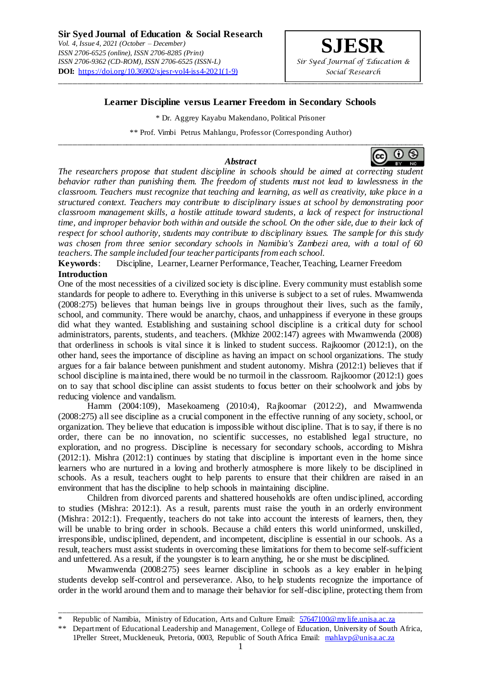## **Learner Discipline versus Learner Freedom in Secondary Schools**

\_\_\_\_\_\_\_\_\_\_\_\_\_\_\_\_\_\_\_\_\_\_\_\_\_\_\_\_\_\_\_\_\_\_\_\_\_\_\_\_\_\_\_\_\_\_\_\_\_\_\_\_\_\_\_\_\_\_\_\_\_\_\_\_\_\_\_\_\_\_\_\_\_\_\_\_\_\_\_\_\_\_

\* Dr. Aggrey Kayabu Makendano, Political Prisoner

\*\* Prof. Vimbi Petrus Mahlangu, Professor (Corresponding Author)

### *Abstract*

\_\_\_\_\_\_\_\_\_\_\_\_\_\_\_\_\_\_\_\_\_\_\_\_\_\_\_\_\_\_\_\_\_\_\_\_\_\_\_\_\_\_\_\_\_\_\_\_\_\_\_\_\_\_\_\_\_\_\_\_\_\_\_\_\_\_\_\_\_\_\_\_\_\_\_\_\_\_\_\_\_\_ ၀ ဓ

*The researchers propose that student discipline in schools should be aimed at correcting student behavior rather than punishing them. The freedom of students must not lead to lawlessness in the classroom. Teachers must recognize that teaching and learning, as well as creativity, take place in a structured context. Teachers may contribute to disciplinary issues at school by demonstrating poor classroom management skills, a hostile attitude toward students, a lack of respect for instructional time, and improper behavior both within and outside the school. On the other side, due to their lack of respect for school authority, students may contribute to disciplinary issues. The sample for this study was chosen from three senior secondary schools in Namibia's Zambezi area, with a total of 60 teachers. The sample included four teacher participants from each school.*

**Keywords**: Discipline, Learner, Learner Performance, Teacher, Teaching, Learner Freedom **Introduction**

One of the most necessities of a civilized society is discipline. Every community must establish some standards for people to adhere to. Everything in this universe is subject to a set of rules. Mwamwenda (2008:275) believes that human beings live in groups throughout their lives, such as the family, school, and community. There would be anarchy, chaos, and unhappiness if everyone in these groups did what they wanted. Establishing and sustaining school discipline is a critical duty for school administrators, parents, students, and teachers. (Mkhize 2002:147) agrees with Mwamwenda (2008) that orderliness in schools is vital since it is linked to student success. Rajkoomor (2012:1), on the other hand, sees the importance of discipline as having an impact on school organizations. The study argues for a fair balance between punishment and student autonomy. Mishra (2012:1) believes that if school discipline is maintained, there would be no turmoil in the classroom. Rajkoomor (2012:1) goes on to say that school discipline can assist students to focus better on their schoolwork and jobs by reducing violence and vandalism.

Hamm (2004:109), Masekoameng (2010:4), Rajkoomar (2012:2), and Mwamwenda (2008:275) all see discipline as a crucial component in the effective running of any society, school, or organization. They believe that education is impossible without discipline. That is to say, if there is no order, there can be no innovation, no scientific successes, no established legal structure, no exploration, and no progress. Discipline is necessary for secondary schools, according to Mishra (2012:1). Mishra (2012:1) continues by stating that discipline is important even in the home since learners who are nurtured in a loving and brotherly atmosphere is more likely to be disciplined in schools. As a result, teachers ought to help parents to ensure that their children are raised in an environment that has the discipline to help schools in maintaining discipline.

Children from divorced parents and shattered households are often undisciplined, according to studies (Mishra: 2012:1). As a result, parents must raise the youth in an orderly environment (Mishra: 2012:1). Frequently, teachers do not take into account the interests of learners, then, they will be unable to bring order in schools. Because a child enters this world uninformed, unskilled, irresponsible, undisciplined, dependent, and incompetent, discipline is essential in our schools. As a result, teachers must assist students in overcoming these limitations for them to become self-sufficient and unfettered. As a result, if the youngster is to learn anything, he or she must be disciplined.

Mwamwenda (2008:275) sees learner discipline in schools as a key enabler in helping students develop self-control and perseverance. Also, to help students recognize the importance of order in the world around them and to manage their behavior for self-discipline, protecting them from

\_\_\_\_\_\_\_\_\_\_\_\_\_\_\_\_\_\_\_\_\_\_\_\_\_\_\_\_\_\_\_\_\_\_\_\_\_\_\_\_\_\_\_\_\_\_\_\_\_\_\_\_\_\_\_\_\_\_\_\_\_\_\_\_\_\_\_\_\_\_\_\_\_\_\_\_\_\_\_\_\_\_\_\_\_\_\_\_\_\_

Republic of Namibia, Ministry of Education, Arts and Culture Email: 57647100@mylife.unisa.ac.za

<sup>\*\*</sup> Department of Educational Leadership and Management, College of Education, University of South Africa, 1Preller Street, Muckleneuk, Pretoria, 0003, Republic of South Africa Email: mahlavp@unisa.ac.za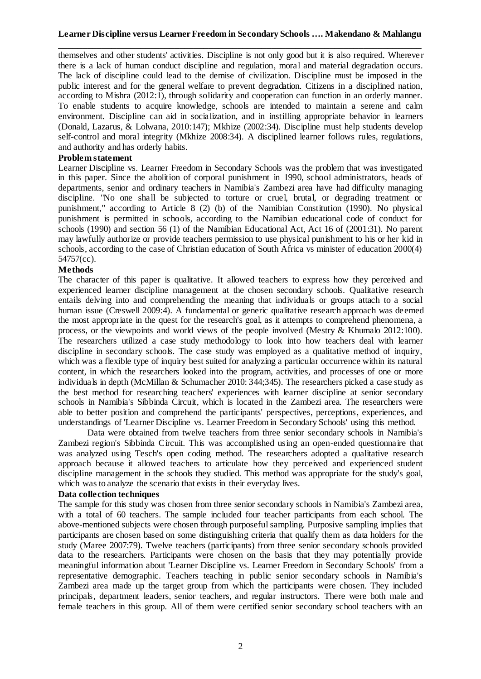# **Learner Discipline versus Learner Freedom in Secondary Schools …. Makendano & Mahlangu \_\_\_\_\_\_\_\_\_\_\_\_\_\_\_\_\_\_\_\_\_\_\_\_\_\_\_\_\_\_\_\_\_\_\_\_\_\_\_\_\_\_\_\_\_\_\_\_\_\_\_\_\_\_\_\_\_\_\_\_\_\_\_\_\_\_\_\_\_\_\_\_\_\_\_**

themselves and other students' activities. Discipline is not only good but it is also required. Wherever there is a lack of human conduct discipline and regulation, moral and material degradation occurs. The lack of discipline could lead to the demise of civilization. Discipline must be imposed in the public interest and for the general welfare to prevent degradation. Citizens in a disciplined nation, according to Mishra (2012:1), through solidarity and cooperation can function in an orderly manner. To enable students to acquire knowledge, schools are intended to maintain a serene and calm environment. Discipline can aid in socialization, and in instilling appropriate behavior in learners (Donald, Lazarus, & Lolwana, 2010:147); Mkhize (2002:34). Discipline must help students develop self-control and moral integrity (Mkhize 2008:34). A disciplined learner follows rules, regulations, and authority and has orderly habits.

## **Problem statement**

Learner Discipline vs. Learner Freedom in Secondary Schools was the problem that was investigated in this paper. Since the abolition of corporal punishment in 1990, school administrators, heads of departments, senior and ordinary teachers in Namibia's Zambezi area have had difficulty managing discipline. "No one shall be subjected to torture or cruel, brutal, or degrading treatment or punishment," according to Article 8 (2) (b) of the Namibian Constitution (1990). No physical punishment is permitted in schools, according to the Namibian educational code of conduct for schools (1990) and section 56 (1) of the Namibian Educational Act, Act 16 of (2001:31). No parent may lawfully authorize or provide teachers permission to use physical punishment to his or her kid in schools, according to the case of Christian education of South Africa vs minister of education 2000(4) 54757(cc).

### **Methods**

The character of this paper is qualitative. It allowed teachers to express how they perceived and experienced learner discipline management at the chosen secondary schools. Qualitative research entails delving into and comprehending the meaning that individuals or groups attach to a social human issue (Creswell 2009:4). A fundamental or generic qualitative research approach was deemed the most appropriate in the quest for the research's goal, as it attempts to comprehend phenomena, a process, or the viewpoints and world views of the people involved (Mestry & Khumalo 2012:100). The researchers utilized a case study methodology to look into how teachers deal with learner discipline in secondary schools. The case study was employed as a qualitative method of inquiry, which was a flexible type of inquiry best suited for analyzing a particular occurrence within its natural content, in which the researchers looked into the program, activities, and processes of one or more individuals in depth (McMillan & Schumacher 2010: 344;345). The researchers picked a case study as the best method for researching teachers' experiences with learner discipline at senior secondary schools in Namibia's Sibbinda Circuit, which is located in the Zambezi area. The researchers were able to better position and comprehend the participants' perspectives, perceptions, experiences, and understandings of 'Learner Discipline vs. Learner Freedom in Secondary Schools' using this method.

Data were obtained from twelve teachers from three senior secondary schools in Namibia's Zambezi region's Sibbinda Circuit. This was accomplished using an open-ended questionnaire that was analyzed using Tesch's open coding method. The researchers adopted a qualitative research approach because it allowed teachers to articulate how they perceived and experienced student discipline management in the schools they studied. This method was appropriate for the study's goal, which was to analyze the scenario that exists in their everyday lives.

## **Data collection techniques**

The sample for this study was chosen from three senior secondary schools in Namibia's Zambezi area, with a total of 60 teachers. The sample included four teacher participants from each school. The above-mentioned subjects were chosen through purposeful sampling. Purposive sampling implies that participants are chosen based on some distinguishing criteria that qualify them as data holders for the study (Maree 2007:79). Twelve teachers (participants) from three senior secondary schools provided data to the researchers. Participants were chosen on the basis that they may potentially provide meaningful information about 'Learner Discipline vs. Learner Freedom in Secondary Schools' from a representative demographic. Teachers teaching in public senior secondary schools in Namibia's Zambezi area made up the target group from which the participants were chosen. They included principals, department leaders, senior teachers, and regular instructors. There were both male and female teachers in this group. All of them were certified senior secondary school teachers with an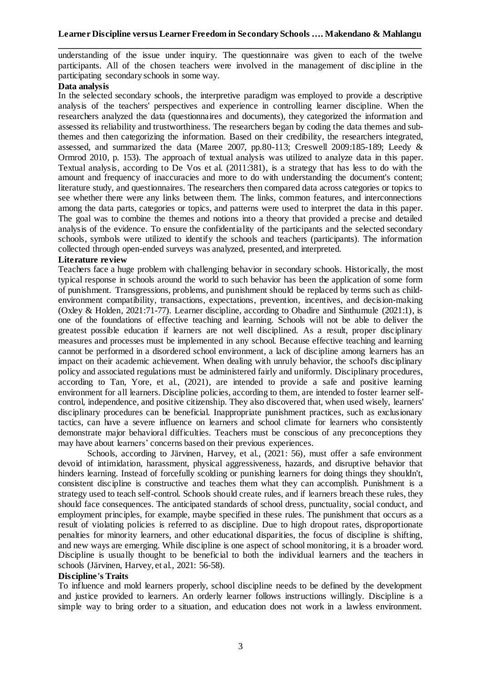understanding of the issue under inquiry. The questionnaire was given to each of the twelve participants. All of the chosen teachers were involved in the management of discipline in the participating secondary schools in some way.

## **Data analysis**

In the selected secondary schools, the interpretive paradigm was employed to provide a descriptive analysis of the teachers' perspectives and experience in controlling learner discipline. When the researchers analyzed the data (questionnaires and documents), they categorized the information and assessed its reliability and trustworthiness. The researchers began by coding the data themes and subthemes and then categorizing the information. Based on their credibility, the researchers integrated, assessed, and summarized the data (Maree 2007, pp.80-113; Creswell 2009:185-189; Leedy & Ormrod 2010, p. 153). The approach of textual analysis was utilized to analyze data in this paper. Textual analysis, according to De Vos et al. (2011:381), is a strategy that has less to do with the amount and frequency of inaccuracies and more to do with understanding the document's content; literature study, and questionnaires. The researchers then compared data across categories or topics to see whether there were any links between them. The links, common features, and interconnections among the data parts, categories or topics, and patterns were used to interpret the data in this paper. The goal was to combine the themes and notions into a theory that provided a precise and detailed analysis of the evidence. To ensure the confidentiality of the participants and the selected secondary schools, symbols were utilized to identify the schools and teachers (participants). The information collected through open-ended surveys was analyzed, presented, and interpreted.

## **Literature review**

Teachers face a huge problem with challenging behavior in secondary schools. Historically, the most typical response in schools around the world to such behavior has been the application of some form of punishment. Transgressions, problems, and punishment should be replaced by terms such as childenvironment compatibility, transactions, expectations, prevention, incentives, and decision-making (Oxley & Holden, 2021:71-77). Learner discipline, according to Obadire and Sinthumule (2021:1), is one of the foundations of effective teaching and learning. Schools will not be able to deliver the greatest possible education if learners are not well disciplined. As a result, proper disciplinary measures and processes must be implemented in any school. Because effective teaching and learning cannot be performed in a disordered school environment, a lack of discipline among learners has an impact on their academic achievement. When dealing with unruly behavior, the school's disciplinary policy and associated regulations must be administered fairly and uniformly. Disciplinary procedures, according to Tan, Yore, et al., (2021), are intended to provide a safe and positive learning environment for all learners. Discipline policies, according to them, are intended to foster learner selfcontrol, independence, and positive citizenship. They also discovered that, when used wisely, learners' disciplinary procedures can be beneficial. Inappropriate punishment practices, such as exclusionary tactics, can have a severe influence on learners and school climate for learners who consistently demonstrate major behavioral difficulties. Teachers must be conscious of any preconceptions they may have about learners' concerns based on their previous experiences.

Schools, according to Järvinen, Harvey, et al., (2021: 56), must offer a safe environment devoid of intimidation, harassment, physical aggressiveness, hazards, and disruptive behavior that hinders learning. Instead of forcefully scolding or punishing learners for doing things they shouldn't, consistent discipline is constructive and teaches them what they can accomplish. Punishment is a strategy used to teach self-control. Schools should create rules, and if learners breach these rules, they should face consequences. The anticipated standards of school dress, punctuality, social conduct, and employment principles, for example, maybe specified in these rules. The punishment that occurs as a result of violating policies is referred to as discipline. Due to high dropout rates, disproportionate penalties for minority learners, and other educational disparities, the focus of discipline is shifting, and new ways are emerging. While discipline is one aspect of school monitoring, it is a broader word. Discipline is usually thought to be beneficial to both the individual learners and the teachers in schools (Järvinen, Harvey, et al., 2021: 56-58).

## **Discipline's Traits**

To influence and mold learners properly, school discipline needs to be defined by the development and justice provided to learners. An orderly learner follows instructions willingly. Discipline is a simple way to bring order to a situation, and education does not work in a lawless environment.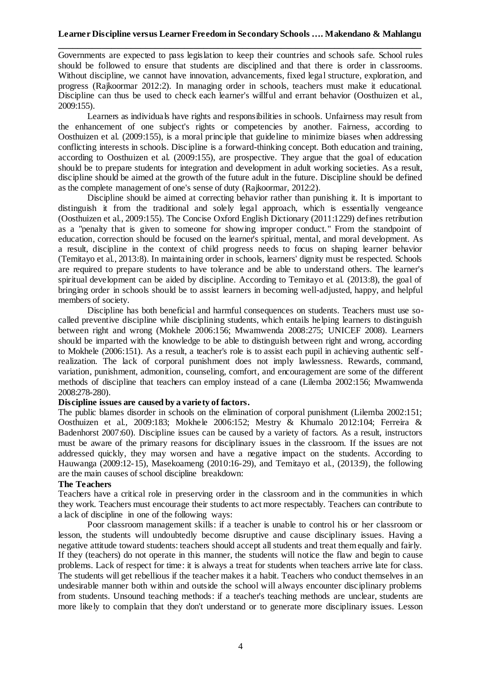Governments are expected to pass legislation to keep their countries and schools safe. School rules should be followed to ensure that students are disciplined and that there is order in classrooms. Without discipline, we cannot have innovation, advancements, fixed legal structure, exploration, and progress (Rajkoormar 2012:2). In managing order in schools, teachers must make it educational. Discipline can thus be used to check each learner's willful and errant behavior (Oosthuizen et al., 2009:155).

Learners as individuals have rights and responsibilities in schools. Unfairness may result from the enhancement of one subject's rights or competencies by another. Fairness, according to Oosthuizen et al. (2009:155), is a moral principle that guideline to minimize biases when addressing conflicting interests in schools. Discipline is a forward-thinking concept. Both education and training, according to Oosthuizen et al. (2009:155), are prospective. They argue that the goal of education should be to prepare students for integration and development in adult working societies. As a result, discipline should be aimed at the growth of the future adult in the future. Discipline should be defined as the complete management of one's sense of duty (Rajkoormar, 2012:2).

Discipline should be aimed at correcting behavior rather than punishing it. It is important to distinguish it from the traditional and solely legal approach, which is essentially vengeance (Oosthuizen et al., 2009:155). The Concise Oxford English Dictionary (2011:1229) defines retribution as a "penalty that is given to someone for showing improper conduct." From the standpoint of education, correction should be focused on the learner's spiritual, mental, and moral development. As a result, discipline in the context of child progress needs to focus on shaping learner behavior (Temitayo et al., 2013:8). In maintaining order in schools, learners' dignity must be respected. Schools are required to prepare students to have tolerance and be able to understand others. The learner's spiritual development can be aided by discipline. According to Temitayo et al. (2013:8), the goal of bringing order in schools should be to assist learners in becoming well-adjusted, happy, and helpful members of society.

Discipline has both beneficial and harmful consequences on students. Teachers must use socalled preventive discipline while disciplining students, which entails helping learners to distinguish between right and wrong (Mokhele 2006:156; Mwamwenda 2008:275; UNICEF 2008). Learners should be imparted with the knowledge to be able to distinguish between right and wrong, according to Mokhele (2006:151). As a result, a teacher's role is to assist each pupil in achieving authentic selfrealization. The lack of corporal punishment does not imply lawlessness. Rewards, command, variation, punishment, admonition, counseling, comfort, and encouragement are some of the different methods of discipline that teachers can employ instead of a cane (Lilemba 2002:156; Mwamwenda 2008:278-280).

## **Discipline issues are caused by a variety of factors.**

The public blames disorder in schools on the elimination of corporal punishment (Lilemba 2002:151; Oosthuizen et al., 2009:183; Mokhele 2006:152; Mestry & Khumalo 2012:104; Ferreira & Badenhorst 2007:60). Discipline issues can be caused by a variety of factors. As a result, instructors must be aware of the primary reasons for disciplinary issues in the classroom. If the issues are not addressed quickly, they may worsen and have a negative impact on the students. According to Hauwanga (2009:12-15), Masekoameng (2010:16-29), and Temitayo et al., (2013:9), the following are the main causes of school discipline breakdown:

### **The Teachers**

Teachers have a critical role in preserving order in the classroom and in the communities in which they work. Teachers must encourage their students to act more respectably. Teachers can contribute to a lack of discipline in one of the following ways:

Poor classroom management skills: if a teacher is unable to control his or her classroom or lesson, the students will undoubtedly become disruptive and cause disciplinary issues. Having a negative attitude toward students: teachers should accept all students and treat them equally and fairly. If they (teachers) do not operate in this manner, the students will notice the flaw and begin to cause problems. Lack of respect for time: it is always a treat for students when teachers arrive late for class. The students will get rebellious if the teacher makes it a habit. Teachers who conduct themselves in an undesirable manner both within and outside the school will always encounter disciplinary problems from students. Unsound teaching methods: if a teacher's teaching methods are unclear, students are more likely to complain that they don't understand or to generate more disciplinary issues. Lesson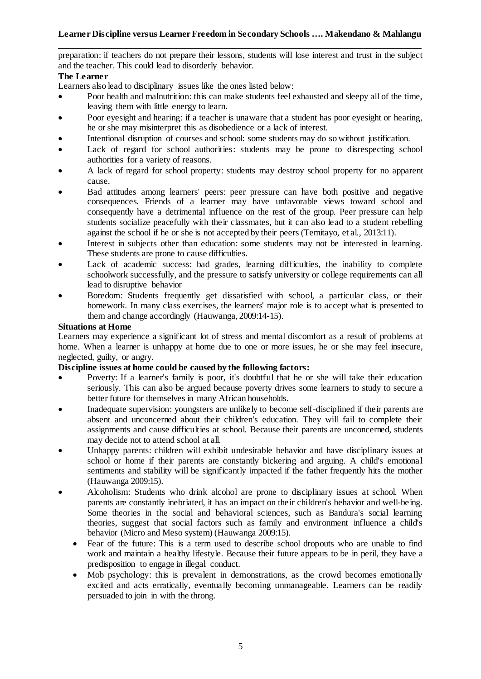# **Learner Discipline versus Learner Freedom in Secondary Schools …. Makendano & Mahlangu**

**\_\_\_\_\_\_\_\_\_\_\_\_\_\_\_\_\_\_\_\_\_\_\_\_\_\_\_\_\_\_\_\_\_\_\_\_\_\_\_\_\_\_\_\_\_\_\_\_\_\_\_\_\_\_\_\_\_\_\_\_\_\_\_\_\_\_\_\_\_\_\_\_\_\_\_** preparation: if teachers do not prepare their lessons, students will lose interest and trust in the subject and the teacher. This could lead to disorderly behavior.

## **The Learner**

Learners also lead to disciplinary issues like the ones listed below:

- Poor health and malnutrition: this can make students feel exhausted and sleepy all of the time, leaving them with little energy to learn.
- Poor eyesight and hearing: if a teacher is unaware that a student has poor eyesight or hearing, he or she may misinterpret this as disobedience or a lack of interest.
- Intentional disruption of courses and school: some students may do so without justification.
- Lack of regard for school authorities: students may be prone to disrespecting school authorities for a variety of reasons.
- A lack of regard for school property: students may destroy school property for no apparent cause.
- Bad attitudes among learners' peers: peer pressure can have both positive and negative consequences. Friends of a learner may have unfavorable views toward school and consequently have a detrimental influence on the rest of the group. Peer pressure can help students socialize peacefully with their classmates, but it can also lead to a student rebelling against the school if he or she is not accepted by their peers (Temitayo, et al., 2013:11).
- Interest in subjects other than education: some students may not be interested in learning. These students are prone to cause difficulties.
- Lack of academic success: bad grades, learning difficulties, the inability to complete schoolwork successfully, and the pressure to satisfy university or college requirements can all lead to disruptive behavior
- Boredom: Students frequently get dissatisfied with school, a particular class, or their homework. In many class exercises, the learners' major role is to accept what is presented to them and change accordingly (Hauwanga, 2009:14-15).

## **Situations at Home**

Learners may experience a significant lot of stress and mental discomfort as a result of problems at home. When a learner is unhappy at home due to one or more issues, he or she may feel insecure, neglected, guilty, or angry.

# **Discipline issues at home could be caused by the following factors:**

- Poverty: If a learner's family is poor, it's doubtful that he or she will take their education seriously. This can also be argued because poverty drives some learners to study to secure a better future for themselves in many African households.
- Inadequate supervision: youngsters are unlikely to become self-disciplined if their parents are absent and unconcerned about their children's education. They will fail to complete their assignments and cause difficulties at school. Because their parents are unconcerned, students may decide not to attend school at all.
- Unhappy parents: children will exhibit undesirable behavior and have disciplinary issues at school or home if their parents are constantly bickering and arguing. A child's emotional sentiments and stability will be significantly impacted if the father frequently hits the mother (Hauwanga 2009:15).
- Alcoholism: Students who drink alcohol are prone to disciplinary issues at school. When parents are constantly inebriated, it has an impact on their children's behavior and well-being. Some theories in the social and behavioral sciences, such as Bandura's social learning theories, suggest that social factors such as family and environment influence a child's behavior (Micro and Meso system) (Hauwanga 2009:15).
	- Fear of the future: This is a term used to describe school dropouts who are unable to find work and maintain a healthy lifestyle. Because their future appears to be in peril, they have a predisposition to engage in illegal conduct.
	- Mob psychology: this is prevalent in demonstrations, as the crowd becomes emotionally excited and acts erratically, eventually becoming unmanageable. Learners can be readily persuaded to join in with the throng.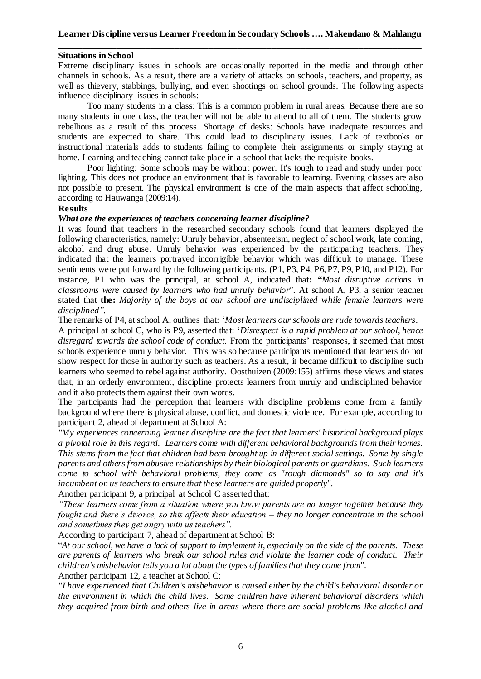### **Situations in School**

Extreme disciplinary issues in schools are occasionally reported in the media and through other channels in schools. As a result, there are a variety of attacks on schools, teachers, and property, as well as thievery, stabbings, bullying, and even shootings on school grounds. The following aspects influence disciplinary issues in schools:

Too many students in a class: This is a common problem in rural areas. Because there are so many students in one class, the teacher will not be able to attend to all of them. The students grow rebellious as a result of this process. Shortage of desks: Schools have inadequate resources and students are expected to share. This could lead to disciplinary issues. Lack of textbooks or instructional materials adds to students failing to complete their assignments or simply staying at home. Learning and teaching cannot take place in a school that lacks the requisite books.

Poor lighting: Some schools may be without power. It's tough to read and study under poor lighting. This does not produce an environment that is favorable to learning. Evening classes are also not possible to present. The physical environment is one of the main aspects that affect schooling, according to Hauwanga (2009:14).

#### **Results**

### *What are the experiences of teachers concerning learner discipline?*

It was found that teachers in the researched secondary schools found that learners displayed the following characteristics, namely: Unruly behavior, absenteeism, neglect of school work, late coming, alcohol and drug abuse. Unruly behavior was experienced by the participating teachers. They indicated that the learners portrayed incorrigible behavior which was difficult to manage. These sentiments were put forward by the following participants. (P1, P3, P4, P6, P7, P9, P10, and P12). For instance, P1 who was the principal, at school A, indicated that**: "***Most disruptive actions in classrooms were caused by learners who had unruly behavior".* At school A, P3, a senior teacher stated that **the:** *Majority of the boys at our school are undisciplined while female learners were disciplined".*

The remarks of P4, at school A, outlines that: '*Most learners our schools are rude towards teachers.*

A principal at school C, who is P9, asserted that: **'***Disrespect is a rapid problem at our school, hence disregard towards the school code of conduct.* From the participants' responses, it seemed that most schools experience unruly behavior. This was so because participants mentioned that learners do not show respect for those in authority such as teachers. As a result, it became difficult to discipline such learners who seemed to rebel against authority. Oosthuizen (2009:155) affirms these views and states that, in an orderly environment, discipline protects learners from unruly and undisciplined behavior and it also protects them against their own words.

The participants had the perception that learners with discipline problems come from a family background where there is physical abuse, conflict, and domestic violence. For example, according to participant 2, ahead of department at School A:

*''My experiences concerning learner discipline are the fact that learners' historical background plays a pivotal role in this regard. Learners come with different behavioral backgrounds from their homes. This stems from the fact that children had been brought up in different social settings. Some by single parents and others from abusive relationships by their biological parents or guardians. Such learners come to school with behavioral problems, they come as "rough diamonds" so to say and it's incumbent on us teachers to ensure that these learners are guided properly".*

Another participant 9, a principal at School C asserted that:

*"These learners come from a situation where you know parents are no longer together because they fought and there's divorce, so this affects their education – they no longer concentrate in the school and sometimes they get angry with us teachers".*

According to participant 7, ahead of department at School B:

"*At our school, we have a lack of support to implement it, especially on the side of the parents. These are parents of learners who break our school rules and violate the learner code of conduct. Their children's misbehavior tells you a lot about the types of families that they come from".*

Another participant 12, a teacher at School C:

*"I have experienced that Children's misbehavior is caused either by the child's behavioral disorder or the environment in which the child lives. Some children have inherent behavioral disorders which they acquired from birth and others live in areas where there are social problems like alcohol and*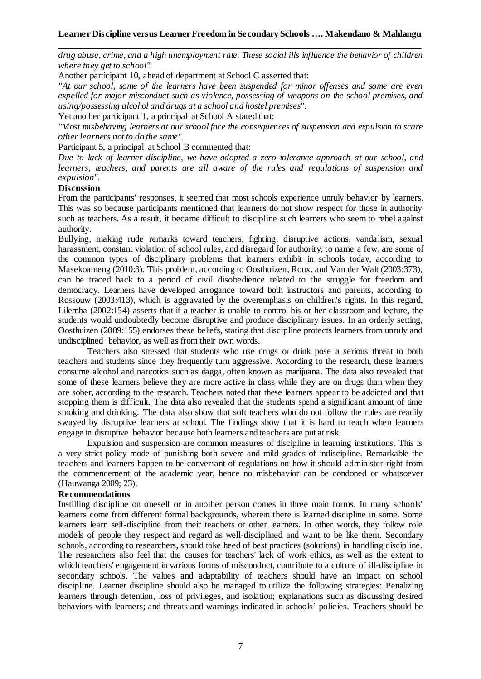*drug abuse, crime, and a high unemployment rate. These social ills influence the behavior of children where they get to school".*

Another participant 10, ahead of department at School C asserted that:

*"At our school, some of the learners have been suspended for minor offenses and some are even expelled for major misconduct such as violence, possessing of weapons on the school premises, and using/possessing alcohol and drugs at a school and hostel premises".*

Yet another participant 1, a principal at School A stated that:

*"Most misbehaving learners at our school face the consequences of suspension and expulsion to scare other learners not to do the same".*

Participant 5, a principal at School B commented that:

*Due to lack of learner discipline, we have adopted a zero-tolerance approach at our school, and learners, teachers, and parents are all aware of the rules and regulations of suspension and expulsion".*

#### **Discussion**

From the participants' responses, it seemed that most schools experience unruly behavior by learners. This was so because participants mentioned that learners do not show respect for those in authority such as teachers. As a result, it became difficult to discipline such learners who seem to rebel against authority.

Bullying, making rude remarks toward teachers, fighting, disruptive actions, vandalism, sexual harassment, constant violation of school rules, and disregard for authority, to name a few, are some of the common types of disciplinary problems that learners exhibit in schools today, according to Masekoameng (2010:3). This problem, according to Oosthuizen, Roux, and Van der Walt (2003:373), can be traced back to a period of civil disobedience related to the struggle for freedom and democracy. Learners have developed arrogance toward both instructors and parents, according to Rossouw (2003:413), which is aggravated by the overemphasis on children's rights. In this regard, Lilemba (2002:154) asserts that if a teacher is unable to control his or her classroom and lecture, the students would undoubtedly become disruptive and produce disciplinary issues. In an orderly setting, Oosthuizen (2009:155) endorses these beliefs, stating that discipline protects learners from unruly and undisciplined behavior, as well as from their own words.

Teachers also stressed that students who use drugs or drink pose a serious threat to both teachers and students since they frequently turn aggressive. According to the research, these learners consume alcohol and narcotics such as dagga, often known as marijuana. The data also revealed that some of these learners believe they are more active in class while they are on drugs than when they are sober, according to the research. Teachers noted that these learners appear to be addicted and that stopping them is difficult. The data also revealed that the students spend a significant amount of time smoking and drinking. The data also show that soft teachers who do not follow the rules are readily swayed by disruptive learners at school. The findings show that it is hard to teach when learners engage in disruptive behavior because both learners and teachers are put at risk.

Expulsion and suspension are common measures of discipline in learning institutions. This is a very strict policy mode of punishing both severe and mild grades of indiscipline. Remarkable the teachers and learners happen to be conversant of regulations on how it should administer right from the commencement of the academic year, hence no misbehavior can be condoned or whatsoever (Hauwanga 2009; 23).

#### **Recommendations**

Instilling discipline on oneself or in another person comes in three main forms. In many schools' learners come from different formal backgrounds, wherein there is learned discipline in some. Some learners learn self-discipline from their teachers or other learners. In other words, they follow role models of people they respect and regard as well-disciplined and want to be like them. Secondary schools, according to researchers, should take heed of best practices (solutions) in handling discipline. The researchers also feel that the causes for teachers' lack of work ethics, as well as the extent to which teachers' engagement in various forms of misconduct, contribute to a culture of ill-discipline in secondary schools. The values and adaptability of teachers should have an impact on school discipline. Learner discipline should also be managed to utilize the following strategies: Penalizing learners through detention, loss of privileges, and isolation; explanations such as discussing desired behaviors with learners; and threats and warnings indicated in schools' policies. Teachers should be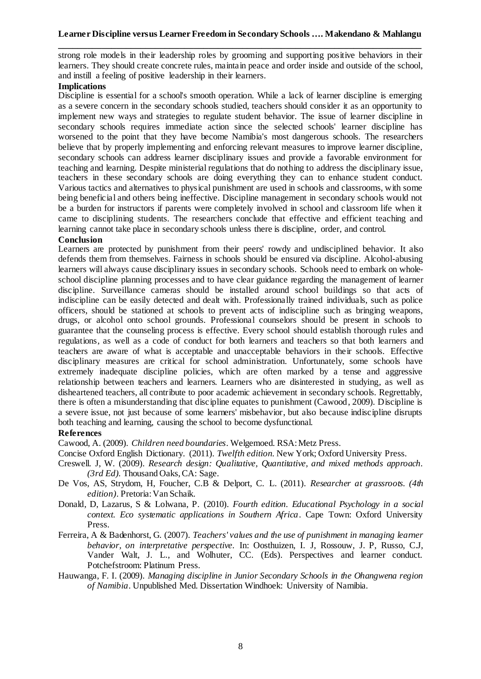strong role models in their leadership roles by grooming and supporting positive behaviors in their learners. They should create concrete rules, maintain peace and order inside and outside of the school, and instill a feeling of positive leadership in their learners.

## **Implications**

Discipline is essential for a school's smooth operation. While a lack of learner discipline is emerging as a severe concern in the secondary schools studied, teachers should consider it as an opportunity to implement new ways and strategies to regulate student behavior. The issue of learner discipline in secondary schools requires immediate action since the selected schools' learner discipline has worsened to the point that they have become Namibia's most dangerous schools. The researchers believe that by properly implementing and enforcing relevant measures to improve learner discipline, secondary schools can address learner disciplinary issues and provide a favorable environment for teaching and learning. Despite ministerial regulations that do nothing to address the disciplinary issue, teachers in these secondary schools are doing everything they can to enhance student conduct. Various tactics and alternatives to physical punishment are used in schools and classrooms, with some being beneficial and others being ineffective. Discipline management in secondary schools would not be a burden for instructors if parents were completely involved in school and classroom life when it came to disciplining students. The researchers conclude that effective and efficient teaching and learning cannot take place in secondary schools unless there is discipline, order, and control.

### **Conclusion**

Learners are protected by punishment from their peers' rowdy and undisciplined behavior. It also defends them from themselves. Fairness in schools should be ensured via discipline. Alcohol-abusing learners will always cause disciplinary issues in secondary schools. Schools need to embark on wholeschool discipline planning processes and to have clear guidance regarding the management of learner discipline. Surveillance cameras should be installed around school buildings so that acts of indiscipline can be easily detected and dealt with. Professionally trained individuals, such as police officers, should be stationed at schools to prevent acts of indiscipline such as bringing weapons, drugs, or alcohol onto school grounds. Professional counselors should be present in schools to guarantee that the counseling process is effective. Every school should establish thorough rules and regulations, as well as a code of conduct for both learners and teachers so that both learners and teachers are aware of what is acceptable and unacceptable behaviors in their schools. Effective disciplinary measures are critical for school administration. Unfortunately, some schools have extremely inadequate discipline policies, which are often marked by a tense and aggressive relationship between teachers and learners. Learners who are disinterested in studying, as well as disheartened teachers, all contribute to poor academic achievement in secondary schools. Regrettably, there is often a misunderstanding that discipline equates to punishment (Cawood, 2009). Discipline is a severe issue, not just because of some learners' misbehavior, but also because indiscipline disrupts both teaching and learning, causing the school to become dysfunctional.

## **References**

Cawood, A. (2009). *Children need boundaries*. Welgemoed. RSA: Metz Press.

Concise Oxford English Dictionary. (2011). *Twelfth edition*. New York; Oxford University Press.

- Creswell. J, W. (2009). *Research design: Qualitative, Quantitative, and mixed methods approach. (3rd Ed).* Thousand Oaks, CA: Sage.
- De Vos, AS, Strydom, H, Foucher, C.B & Delport, C. L. (2011). *Researcher at grassroots. (4th edition)*. Pretoria: Van Schaik.
- Donald, D, Lazarus, S & Lolwana, P. (2010). *Fourth edition. Educational Psychology in a social context. Eco systematic applications in Southern Africa*. Cape Town: Oxford University Press.
- Ferreira, A & Badenhorst, G. (2007). *Teachers' values and the use of punishment in managing learner behavior, on interpretative perspective.* In: Oosthuizen, I. J, Rossouw, J. P, Russo, C.J, Vander Walt, J. L., and Wolhuter, CC. (Eds). Perspectives and learner conduct. Potchefstroom: Platinum Press.
- Hauwanga, F. I. (2009). *Managing discipline in Junior Secondary Schools in the Ohangwena region of Namibia*. Unpublished Med. Dissertation Windhoek: University of Namibia.